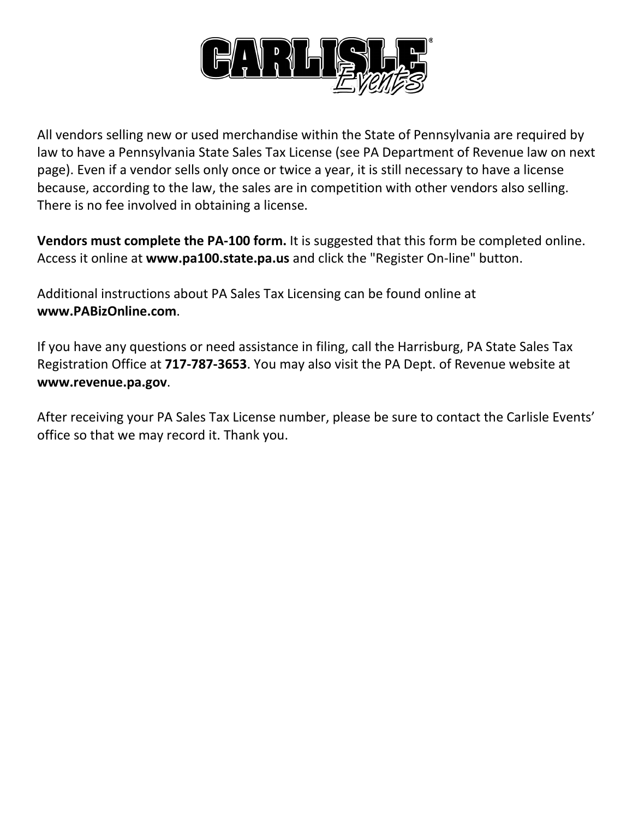

All vendors selling new or used merchandise within the State of Pennsylvania are required by law to have a Pennsylvania State Sales Tax License (see PA Department of Revenue law on next page). Even if a vendor sells only once or twice a year, it is still necessary to have a license because, according to the law, the sales are in competition with other vendors also selling. There is no fee involved in obtaining a license.

**Vendors must complete the PA-100 form.** It is suggested that this form be completed online. Access it online at **[www.pa100.state.pa.us](http://www.pa100.state.pa.us/)** and click the "Register On-line" button.

Additional instructions about PA Sales Tax Licensing can be found online at **www.PABizOnline.com**.

If you have any questions or need assistance in filing, call the Harrisburg, PA State Sales Tax Registration Office at **717-787-3653**. You may also visit the PA Dept. of Revenue website at **[www.revenue.pa.gov](http://www.revenue.state.pa.us/)**.

After receiving your PA Sales Tax License number, please be sure to contact the Carlisle Events' office so that we may record it. Thank you.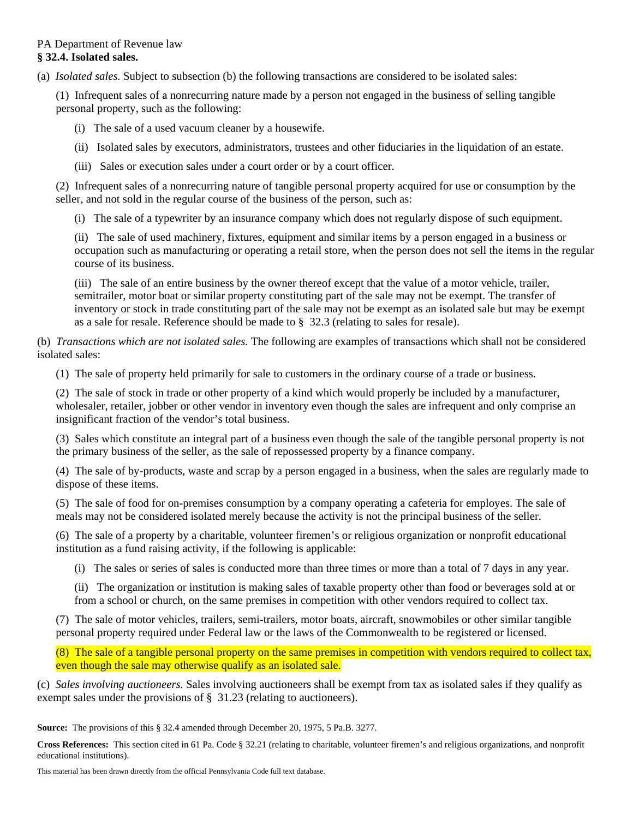## PA Department of Revenue law **§ 32.4. Isolated sales.**

(a) *Isolated sales.* Subject to subsection (b) the following transactions are considered to be isolated sales:

 (1) Infrequent sales of a nonrecurring nature made by a person not engaged in the business of selling tangible personal property, such as the following:

- (i) The sale of a used vacuum cleaner by a housewife.
- (ii) Isolated sales by executors, administrators, trustees and other fiduciaries in the liquidation of an estate.
- (iii) Sales or execution sales under a court order or by a court officer.

 (2) Infrequent sales of a nonrecurring nature of tangible personal property acquired for use or consumption by the seller, and not sold in the regular course of the business of the person, such as:

(i) The sale of a typewriter by an insurance company which does not regularly dispose of such equipment.

 (ii) The sale of used machinery, fixtures, equipment and similar items by a person engaged in a business or occupation such as manufacturing or operating a retail store, when the person does not sell the items in the regular course of its business.

 (iii) The sale of an entire business by the owner thereof except that the value of a motor vehicle, trailer, semitrailer, motor boat or similar property constituting part of the sale may not be exempt. The transfer of inventory or stock in trade constituting part of the sale may not be exempt as an isolated sale but may be exempt as a sale for resale. Reference should be made to § 32.3 (relating to sales for resale).

(b) *Transactions which are not isolated sales.* The following are examples of transactions which shall not be considered isolated sales:

(1) The sale of property held primarily for sale to customers in the ordinary course of a trade or business.

 (2) The sale of stock in trade or other property of a kind which would properly be included by a manufacturer, wholesaler, retailer, jobber or other vendor in inventory even though the sales are infrequent and only comprise an insignificant fraction of the vendor's total business.

 (3) Sales which constitute an integral part of a business even though the sale of the tangible personal property is not the primary business of the seller, as the sale of repossessed property by a finance company.

 (4) The sale of by-products, waste and scrap by a person engaged in a business, when the sales are regularly made to dispose of these items.

 (5) The sale of food for on-premises consumption by a company operating a cafeteria for employes. The sale of meals may not be considered isolated merely because the activity is not the principal business of the seller.

 (6) The sale of a property by a charitable, volunteer firemen's or religious organization or nonprofit educational institution as a fund raising activity, if the following is applicable:

(i) The sales or series of sales is conducted more than three times or more than a total of 7 days in any year.

 (ii) The organization or institution is making sales of taxable property other than food or beverages sold at or from a school or church, on the same premises in competition with other vendors required to collect tax.

 (7) The sale of motor vehicles, trailers, semi-trailers, motor boats, aircraft, snowmobiles or other similar tangible personal property required under Federal law or the laws of the Commonwealth to be registered or licensed.

 (8) The sale of a tangible personal property on the same premises in competition with vendors required to collect tax, even though the sale may otherwise qualify as an isolated sale.

(c) *Sales involving auctioneers.* Sales involving auctioneers shall be exempt from tax as isolated sales if they qualify as exempt sales under the provisions of § 31.23 (relating to auctioneers).

**Source:** The provisions of this § 32.4 amended through December 20, 1975, 5 Pa.B. 3277.

**Cross References:** This section cited in 61 Pa. Code § 32.21 (relating to charitable, volunteer firemen's and religious organizations, and nonprofit educational institutions).

This material has been drawn directly from the official Pennsylvania Code full text database.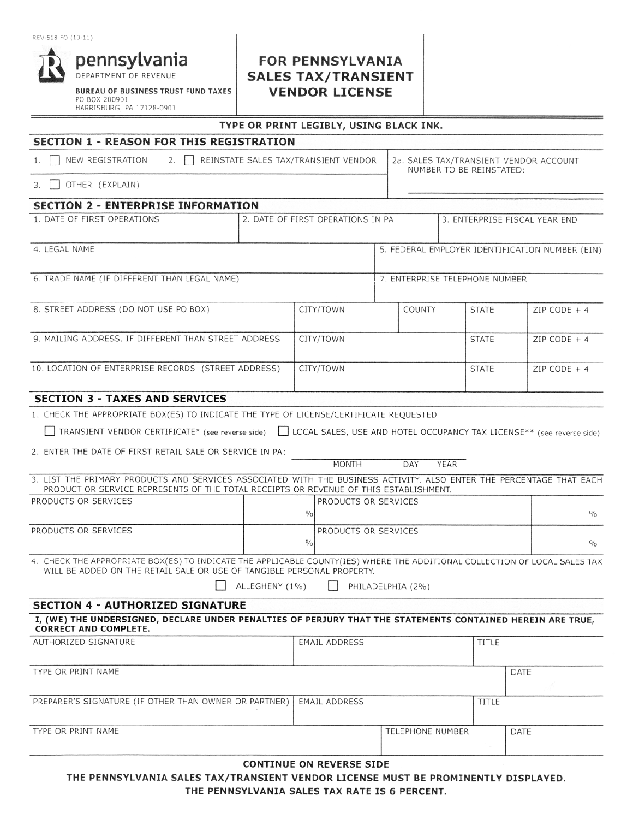### REV-518 FO (10-11)



**BUREAU OF BUSINESS TRUST FUND TAXES** PO BOX 280901 HARRISBURG, PA 17128-0901

# **FOR PENNSYLVANIA SALES TAX/TRANSIENT VENDOR LICENSE**

### TYPE OR PRINT LEGIBLY, USING BLACK INK.

## **SECTION 1 - REASON FOR THIS REGISTRATION**

| 2. REINSTATE SALES TAX/TRANSIENT VENDOR   2a. SALES TAX/TRANSIENT VENDOR ACCOUNT<br>1. NEW REGISTRATION | NUMBER TO BE REINSTATED: |
|---------------------------------------------------------------------------------------------------------|--------------------------|
|                                                                                                         |                          |

3. OTHER (EXPLAIN)

### **SECTION 2 - ENTERPRISE INFORMATION**

| 1. DATE OF FIRST OPERATIONS                          | 2. DATE OF FIRST OPERATIONS IN PA |           |                                                 | 3. ENTERPRISE FISCAL YEAR END |                                |               |               |
|------------------------------------------------------|-----------------------------------|-----------|-------------------------------------------------|-------------------------------|--------------------------------|---------------|---------------|
| 4. LEGAL NAME                                        |                                   |           | 5. FEDERAL EMPLOYER IDENTIFICATION NUMBER (EIN) |                               |                                |               |               |
| 6. TRADE NAME (IF DIFFERENT THAN LEGAL NAME)         |                                   |           |                                                 |                               | 7. ENTERPRISE TELEPHONE NUMBER |               |               |
| 8. STREET ADDRESS (DO NOT USE PO BOX)                |                                   | CITY/TOWN |                                                 | COUNTY                        | <b>STATE</b>                   |               | ZIP CODE $+4$ |
| 9. MAILING ADDRESS, IF DIFFERENT THAN STREET ADDRESS | CITY/TOWN                         |           |                                                 | <b>STATE</b>                  |                                | ZIP CODE $+4$ |               |
| 10. LOCATION OF ENTERPRISE RECORDS (STREET ADDRESS)  | CITY/TOWN                         |           |                                                 |                               | <b>STATE</b>                   |               | ZIP CODE $+4$ |
| CECTION 2 - TAYES AND CEDVICES                       |                                   |           |                                                 |                               |                                |               |               |

#### CIIUN 3 **IAXES AND SERVICES**

|  |  | 1. CHECK THE APPROPRIATE BOX(ES) TO INDICATE THE TYPE OF LICENSE/CERTIFICATE REQUESTED |  |  |  |  |  |  |
|--|--|----------------------------------------------------------------------------------------|--|--|--|--|--|--|
|--|--|----------------------------------------------------------------------------------------|--|--|--|--|--|--|

TRANSIENT VENDOR CERTIFICATE\* (see reverse side) | LOCAL SALES, USE AND HOTEL OCCUPANCY TAX LICENSE\*\* (see reverse side)

2. ENTER THE DATE OF FIRST RETAIL SALE OR SERVICE IN PA:

|                                                                                                                                                                                                               |               | MONTH                       | DAY | YEAR |  |  |               |
|---------------------------------------------------------------------------------------------------------------------------------------------------------------------------------------------------------------|---------------|-----------------------------|-----|------|--|--|---------------|
| 3. LIST THE PRIMARY PRODUCTS AND SERVICES ASSOCIATED WITH THE BUSINESS ACTIVITY. ALSO ENTER THE PERCENTAGE THAT EACH<br>PRODUCT OR SERVICE REPRESENTS OF THE TOTAL RECEIPTS OR REVENUE OF THIS ESTABLISHMENT. |               |                             |     |      |  |  |               |
| PRODUCTS OR SERVICES                                                                                                                                                                                          |               | <b>PRODUCTS OR SERVICES</b> |     |      |  |  |               |
|                                                                                                                                                                                                               | $\frac{0}{0}$ |                             |     |      |  |  | $\frac{0}{0}$ |
| PRODUCTS OR SERVICES                                                                                                                                                                                          |               | PRODUCTS OR SERVICES        |     |      |  |  |               |
|                                                                                                                                                                                                               | $\frac{0}{0}$ |                             |     |      |  |  | $^{0}/_{0}$   |
| 4. CHECK THE APPROPRIATE BOX(ES) TO INDICATE THE APPLICABLE COUNTY(IES) WHERE THE ADDITIONAL COLLECTION OF LOCAL SALES TAX<br>WILL BE ADDED ON THE RETAIL SALE OR USE OF TANGIBLE PERSONAL PROPERTY.          |               |                             |     |      |  |  |               |

 $\Box$  ALLEGHENY (1%)

PHILADELPHIA (2%)

## **SECTION 4 - AUTHORIZED SIGNATURE**

#### I, (WE) THE UNDERSIGNED, DECLARE UNDER PENALTIES OF PERJURY THAT THE STATEMENTS CONTAINED HEREIN ARE TRUE, **CORRECT AND COMPLETE.** AUTHORIZED SIGNATURE EMAIL ADDRESS TITLE

| TYPE OR PRINT NAME                                                    |                  |       | DATE |
|-----------------------------------------------------------------------|------------------|-------|------|
|                                                                       |                  |       |      |
| PREPARER'S SIGNATURE (IF OTHER THAN OWNER OR PARTNER)   EMAIL ADDRESS |                  | TITLE |      |
|                                                                       |                  |       |      |
| TYPE OR PRINT NAME                                                    | TELEPHONE NUMBER |       | DATE |
|                                                                       |                  |       |      |

#### **CONTINUE ON REVERSE SIDE**

THE PENNSYLVANIA SALES TAX/TRANSIENT VENDOR LICENSE MUST BE PROMINENTLY DISPLAYED.

THE PENNSYLVANIA SALES TAX RATE IS 6 PERCENT.